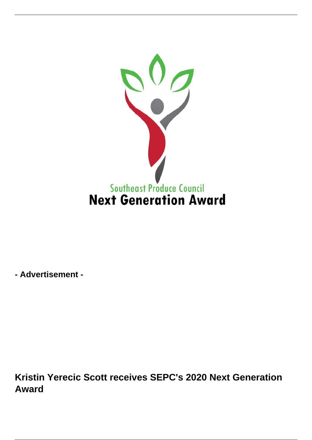

**- Advertisement -**

**Kristin Yerecic Scott receives SEPC's 2020 Next Generation Award**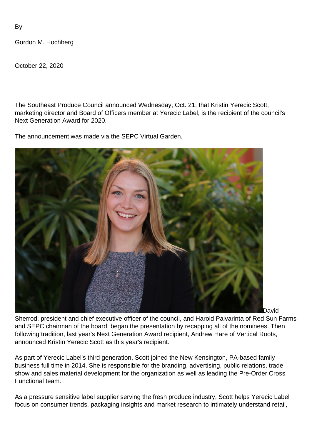Gordon M. Hochberg

October 22, 2020

The Southeast Produce Council announced Wednesday, Oct. 21, that Kristin Yerecic Scott, marketing director and Board of Officers member at Yerecic Label, is the recipient of the council's Next Generation Award for 2020.

The announcement was made via the SEPC Virtual Garden.



David

Sherrod, president and chief executive officer of the council, and Harold Paivarinta of Red Sun Farms and SEPC chairman of the board, began the presentation by recapping all of the nominees. Then following tradition, last year's Next Generation Award recipient, Andrew Hare of Vertical Roots, announced Kristin Yerecic Scott as this year's recipient.

As part of Yerecic Label's third generation, Scott joined the New Kensington, PA-based family business full time in 2014. She is responsible for the branding, advertising, public relations, trade show and sales material development for the organization as well as leading the Pre-Order Cross Functional team.

As a pressure sensitive label supplier serving the fresh produce industry, Scott helps Yerecic Label focus on consumer trends, packaging insights and market research to intimately understand retail,

By